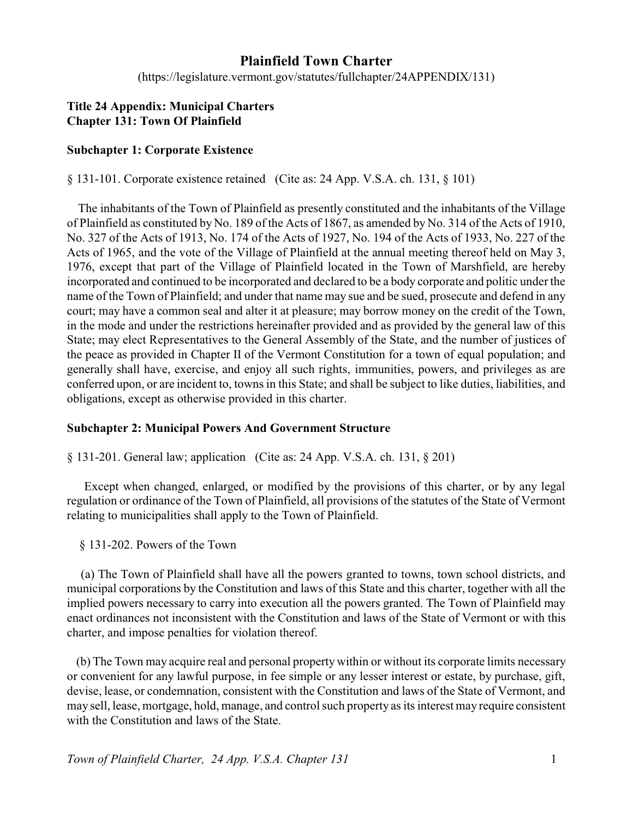# **Plainfield Town Charter**

(https://legislature.vermont.gov/statutes/fullchapter/24APPENDIX/131)

# **Title 24 Appendix: Municipal Charters Chapter 131: Town Of Plainfield**

# **Subchapter 1: Corporate Existence**

§ 131-101. Corporate existence retained (Cite as: 24 App. V.S.A. ch. 131, § 101)

The inhabitants of the Town of Plainfield as presently constituted and the inhabitants of the Village of Plainfield as constituted by No. 189 of the Acts of 1867, as amended by No. 314 of the Acts of 1910, No. 327 of the Acts of 1913, No. 174 of the Acts of 1927, No. 194 of the Acts of 1933, No. 227 of the Acts of 1965, and the vote of the Village of Plainfield at the annual meeting thereof held on May 3, 1976, except that part of the Village of Plainfield located in the Town of Marshfield, are hereby incorporated and continued to be incorporated and declared to be a body corporate and politic under the name of the Town of Plainfield; and under that name may sue and be sued, prosecute and defend in any court; may have a common seal and alter it at pleasure; may borrow money on the credit of the Town, in the mode and under the restrictions hereinafter provided and as provided by the general law of this State; may elect Representatives to the General Assembly of the State, and the number of justices of the peace as provided in Chapter II of the Vermont Constitution for a town of equal population; and generally shall have, exercise, and enjoy all such rights, immunities, powers, and privileges as are conferred upon, or are incident to, towns in this State; and shall be subject to like duties, liabilities, and obligations, except as otherwise provided in this charter.

# **Subchapter 2: Municipal Powers And Government Structure**

§ 131-201. General law; application (Cite as: 24 App. V.S.A. ch. 131, § 201)

Except when changed, enlarged, or modified by the provisions of this charter, or by any legal regulation or ordinance of the Town of Plainfield, all provisions of the statutes of the State of Vermont relating to municipalities shall apply to the Town of Plainfield.

§ 131-202. Powers of the Town

(a) The Town of Plainfield shall have all the powers granted to towns, town school districts, and municipal corporations by the Constitution and laws of this State and this charter, together with all the implied powers necessary to carry into execution all the powers granted. The Town of Plainfield may enact ordinances not inconsistent with the Constitution and laws of the State of Vermont or with this charter, and impose penalties for violation thereof.

(b) The Town may acquire real and personal property within or without its corporate limits necessary or convenient for any lawful purpose, in fee simple or any lesser interest or estate, by purchase, gift, devise, lease, or condemnation, consistent with the Constitution and laws of the State of Vermont, and may sell, lease, mortgage, hold, manage, and control such property as its interest may require consistent with the Constitution and laws of the State.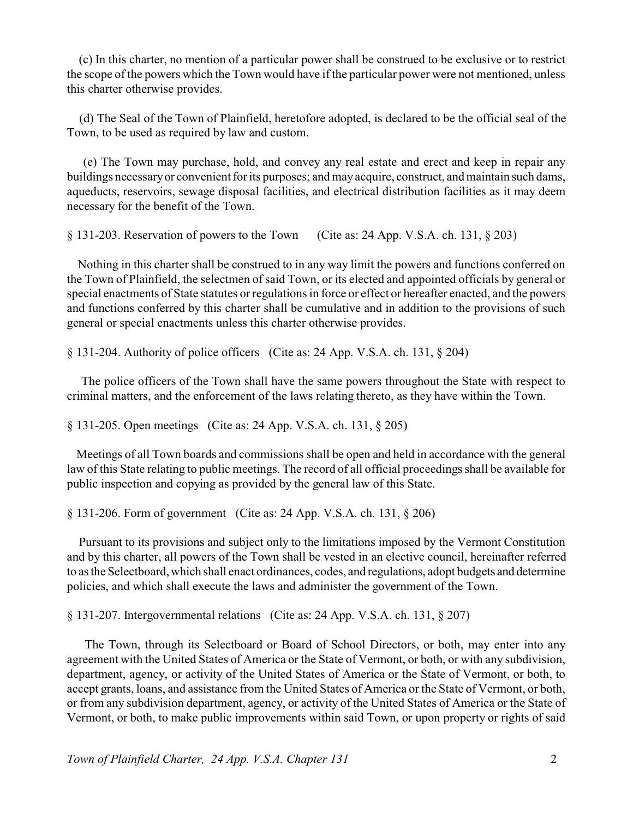(c) In this charter, no mention of a particular power shall be construed to be exclusive or to restrict the scope of the powers which the Town would have if the particular power were not mentioned, unless this charter otherwise provides.

 (d) The Seal of the Town of Plainfield, heretofore adopted, is declared to be the official seal of the Town, to be used as required by law and custom.

(e) The Town may purchase, hold, and convey any real estate and erect and keep in repair any buildings necessaryor convenient for its purposes; and may acquire, construct, and maintain such dams, aqueducts, reservoirs, sewage disposal facilities, and electrical distribution facilities as it may deem necessary for the benefit of the Town.

§ 131-203. Reservation of powers to the Town (Cite as: 24 App. V.S.A. ch. 131, § 203)

Nothing in this charter shall be construed to in any way limit the powers and functions conferred on the Town of Plainfield, the selectmen of said Town, or its elected and appointed officials by general or special enactments of State statutes or regulations in force or effect or hereafter enacted, and the powers and functions conferred by this charter shall be cumulative and in addition to the provisions of such general or special enactments unless this charter otherwise provides.

§ 131-204. Authority of police officers (Cite as: 24 App. V.S.A. ch. 131, § 204)

The police officers of the Town shall have the same powers throughout the State with respect to criminal matters, and the enforcement of the laws relating thereto, as they have within the Town.

§ 131-205. Open meetings (Cite as: 24 App. V.S.A. ch. 131, § 205)

Meetings of all Town boards and commissions shall be open and held in accordance with the general law of this State relating to public meetings. The record of all official proceedings shall be available for public inspection and copying as provided by the general law of this State.

§ 131-206. Form of government (Cite as: 24 App. V.S.A. ch. 131, § 206)

Pursuant to its provisions and subject only to the limitations imposed by the Vermont Constitution and by this charter, all powers of the Town shall be vested in an elective council, hereinafter referred to as the Selectboard, which shall enact ordinances, codes, and regulations, adopt budgets and determine policies, and which shall execute the laws and administer the government of the Town.

§ 131-207. Intergovernmental relations (Cite as: 24 App. V.S.A. ch. 131, § 207)

The Town, through its Selectboard or Board of School Directors, or both, may enter into any agreement with the United States of America or the State of Vermont, or both, or with any subdivision, department, agency, or activity of the United States of America or the State of Vermont, or both, to accept grants, loans, and assistance from the United States of America or the State of Vermont, or both, or from any subdivision department, agency, or activity of the United States of America or the State of Vermont, or both, to make public improvements within said Town, or upon property or rights of said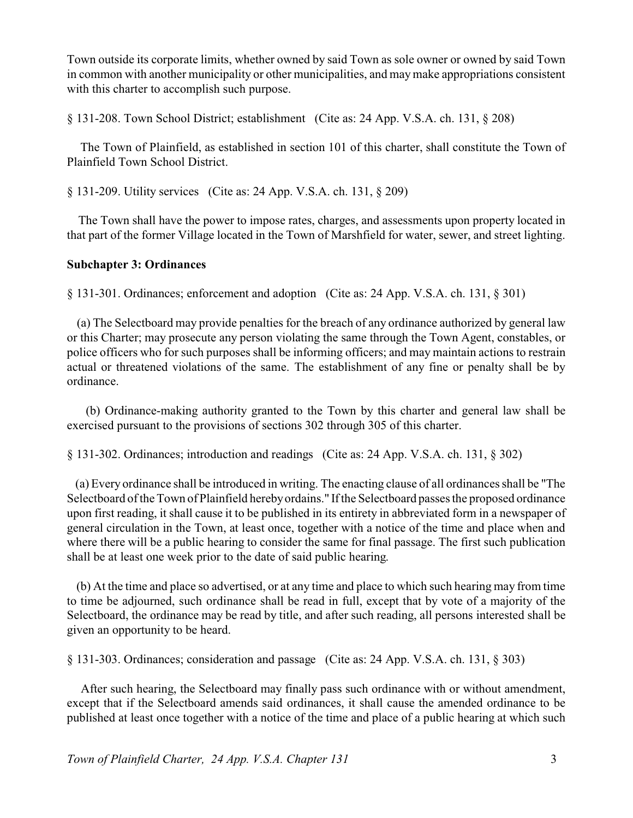Town outside its corporate limits, whether owned by said Town as sole owner or owned by said Town in common with another municipality or other municipalities, and maymake appropriations consistent with this charter to accomplish such purpose.

§ 131-208. Town School District; establishment (Cite as: 24 App. V.S.A. ch. 131, § 208)

The Town of Plainfield, as established in section 101 of this charter, shall constitute the Town of Plainfield Town School District.

§ 131-209. Utility services (Cite as: 24 App. V.S.A. ch. 131, § 209)

The Town shall have the power to impose rates, charges, and assessments upon property located in that part of the former Village located in the Town of Marshfield for water, sewer, and street lighting.

# **Subchapter 3: Ordinances**

§ 131-301. Ordinances; enforcement and adoption (Cite as: 24 App. V.S.A. ch. 131, § 301)

(a) The Selectboard may provide penalties for the breach of any ordinance authorized by general law or this Charter; may prosecute any person violating the same through the Town Agent, constables, or police officers who for such purposes shall be informing officers; and may maintain actions to restrain actual or threatened violations of the same. The establishment of any fine or penalty shall be by ordinance.

(b) Ordinance-making authority granted to the Town by this charter and general law shall be exercised pursuant to the provisions of sections 302 through 305 of this charter.

§ 131-302. Ordinances; introduction and readings (Cite as: 24 App. V.S.A. ch. 131, § 302)

(a) Every ordinance shall be introduced in writing. The enacting clause of all ordinances shall be "The Selectboard of the Town of Plainfield hereby ordains." If the Selectboard passes the proposed ordinance upon first reading, it shall cause it to be published in its entirety in abbreviated form in a newspaper of general circulation in the Town, at least once, together with a notice of the time and place when and where there will be a public hearing to consider the same for final passage. The first such publication shall be at least one week prior to the date of said public hearing.

(b) At the time and place so advertised, or at any time and place to which such hearing may from time to time be adjourned, such ordinance shall be read in full, except that by vote of a majority of the Selectboard, the ordinance may be read by title, and after such reading, all persons interested shall be given an opportunity to be heard.

§ 131-303. Ordinances; consideration and passage (Cite as: 24 App. V.S.A. ch. 131, § 303)

After such hearing, the Selectboard may finally pass such ordinance with or without amendment, except that if the Selectboard amends said ordinances, it shall cause the amended ordinance to be published at least once together with a notice of the time and place of a public hearing at which such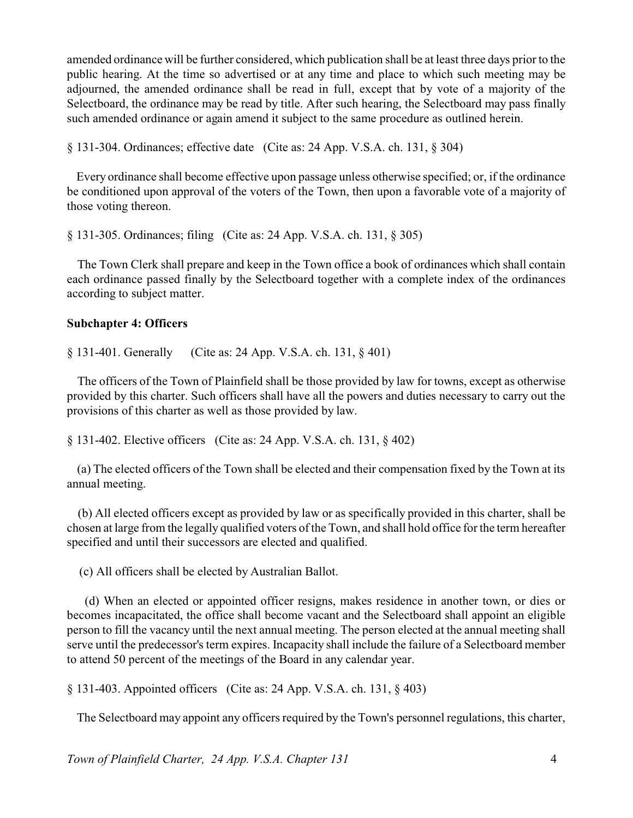amended ordinance will be further considered, which publication shall be at least three days prior to the public hearing. At the time so advertised or at any time and place to which such meeting may be adjourned, the amended ordinance shall be read in full, except that by vote of a majority of the Selectboard, the ordinance may be read by title. After such hearing, the Selectboard may pass finally such amended ordinance or again amend it subject to the same procedure as outlined herein.

§ 131-304. Ordinances; effective date (Cite as: 24 App. V.S.A. ch. 131, § 304)

Every ordinance shall become effective upon passage unless otherwise specified; or, if the ordinance be conditioned upon approval of the voters of the Town, then upon a favorable vote of a majority of those voting thereon.

§ 131-305. Ordinances; filing (Cite as: 24 App. V.S.A. ch. 131, § 305)

The Town Clerk shall prepare and keep in the Town office a book of ordinances which shall contain each ordinance passed finally by the Selectboard together with a complete index of the ordinances according to subject matter.

#### **Subchapter 4: Officers**

§ 131-401. Generally (Cite as: 24 App. V.S.A. ch. 131, § 401)

The officers of the Town of Plainfield shall be those provided by law for towns, except as otherwise provided by this charter. Such officers shall have all the powers and duties necessary to carry out the provisions of this charter as well as those provided by law.

§ 131-402. Elective officers (Cite as: 24 App. V.S.A. ch. 131, § 402)

(a) The elected officers of the Town shall be elected and their compensation fixed by the Town at its annual meeting.

(b) All elected officers except as provided by law or as specifically provided in this charter, shall be chosen at large from the legally qualified voters of the Town, and shall hold office for the term hereafter specified and until their successors are elected and qualified.

(c) All officers shall be elected by Australian Ballot.

(d) When an elected or appointed officer resigns, makes residence in another town, or dies or becomes incapacitated, the office shall become vacant and the Selectboard shall appoint an eligible person to fill the vacancy until the next annual meeting. The person elected at the annual meeting shall serve until the predecessor's term expires. Incapacity shall include the failure of a Selectboard member to attend 50 percent of the meetings of the Board in any calendar year.

§ 131-403. Appointed officers (Cite as: 24 App. V.S.A. ch. 131, § 403)

The Selectboard may appoint any officers required by the Town's personnel regulations, this charter,

*Town of Plainfield Charter, 24 App. V.S.A. Chapter 131* 4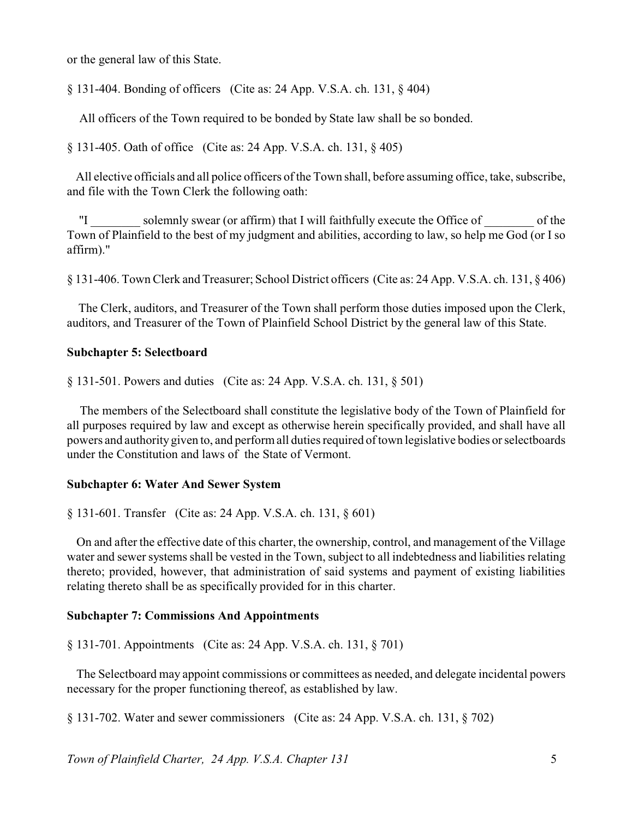or the general law of this State.

§ 131-404. Bonding of officers (Cite as: 24 App. V.S.A. ch. 131, § 404)

All officers of the Town required to be bonded by State law shall be so bonded.

§ 131-405. Oath of office (Cite as: 24 App. V.S.A. ch. 131, § 405)

All elective officials and all police officers of the Town shall, before assuming office, take, subscribe, and file with the Town Clerk the following oath:

"I \_\_\_\_\_\_\_\_ solemnly swear (or affirm) that I will faithfully execute the Office of \_\_\_\_\_\_\_\_ of the Town of Plainfield to the best of my judgment and abilities, according to law, so help me God (or I so affirm)."

§ 131-406. Town Clerk and Treasurer; School District officers (Cite as: 24 App. V.S.A. ch. 131, § 406)

The Clerk, auditors, and Treasurer of the Town shall perform those duties imposed upon the Clerk, auditors, and Treasurer of the Town of Plainfield School District by the general law of this State.

#### **Subchapter 5: Selectboard**

§ 131-501. Powers and duties (Cite as: 24 App. V.S.A. ch. 131, § 501)

The members of the Selectboard shall constitute the legislative body of the Town of Plainfield for all purposes required by law and except as otherwise herein specifically provided, and shall have all powers and authority given to, and perform all duties required of town legislative bodies or selectboards under the Constitution and laws of the State of Vermont.

#### **Subchapter 6: Water And Sewer System**

§ 131-601. Transfer (Cite as: 24 App. V.S.A. ch. 131, § 601)

On and after the effective date of this charter, the ownership, control, and management of the Village water and sewer systems shall be vested in the Town, subject to all indebtedness and liabilities relating thereto; provided, however, that administration of said systems and payment of existing liabilities relating thereto shall be as specifically provided for in this charter.

#### **Subchapter 7: Commissions And Appointments**

§ 131-701. Appointments (Cite as: 24 App. V.S.A. ch. 131, § 701)

The Selectboard may appoint commissions or committees as needed, and delegate incidental powers necessary for the proper functioning thereof, as established by law.

§ 131-702. Water and sewer commissioners (Cite as: 24 App. V.S.A. ch. 131, § 702)

*Town of Plainfield Charter, 24 App. V.S.A. Chapter 131* 5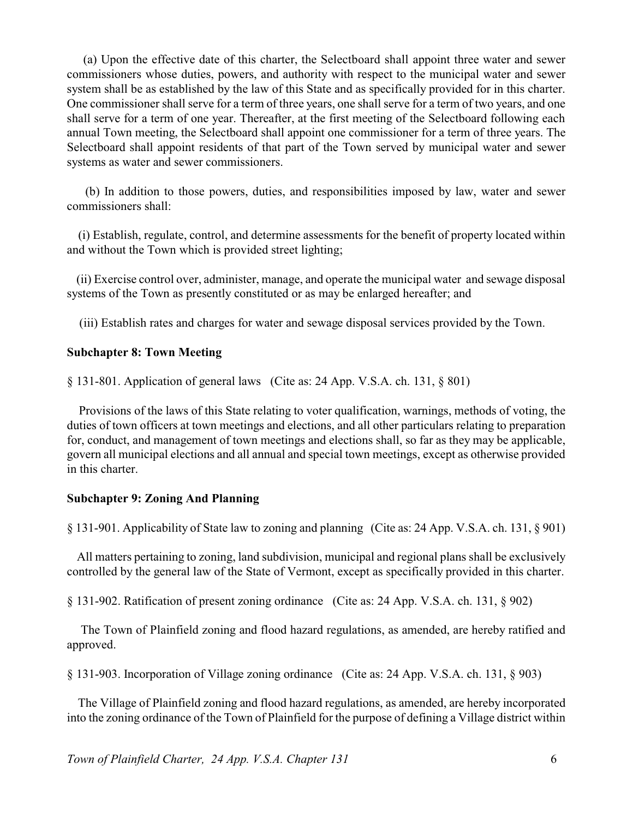(a) Upon the effective date of this charter, the Selectboard shall appoint three water and sewer commissioners whose duties, powers, and authority with respect to the municipal water and sewer system shall be as established by the law of this State and as specifically provided for in this charter. One commissioner shall serve for a term of three years, one shall serve for a term of two years, and one shall serve for a term of one year. Thereafter, at the first meeting of the Selectboard following each annual Town meeting, the Selectboard shall appoint one commissioner for a term of three years. The Selectboard shall appoint residents of that part of the Town served by municipal water and sewer systems as water and sewer commissioners.

(b) In addition to those powers, duties, and responsibilities imposed by law, water and sewer commissioners shall:

(i) Establish, regulate, control, and determine assessments for the benefit of property located within and without the Town which is provided street lighting;

(ii) Exercise control over, administer, manage, and operate the municipal water and sewage disposal systems of the Town as presently constituted or as may be enlarged hereafter; and

(iii) Establish rates and charges for water and sewage disposal services provided by the Town.

#### **Subchapter 8: Town Meeting**

§ 131-801. Application of general laws (Cite as: 24 App. V.S.A. ch. 131, § 801)

Provisions of the laws of this State relating to voter qualification, warnings, methods of voting, the duties of town officers at town meetings and elections, and all other particulars relating to preparation for, conduct, and management of town meetings and elections shall, so far as they may be applicable, govern all municipal elections and all annual and special town meetings, except as otherwise provided in this charter.

#### **Subchapter 9: Zoning And Planning**

§ 131-901. Applicability of State law to zoning and planning (Cite as: 24 App. V.S.A. ch. 131, § 901)

All matters pertaining to zoning, land subdivision, municipal and regional plans shall be exclusively controlled by the general law of the State of Vermont, except as specifically provided in this charter.

§ 131-902. Ratification of present zoning ordinance (Cite as: 24 App. V.S.A. ch. 131, § 902)

The Town of Plainfield zoning and flood hazard regulations, as amended, are hereby ratified and approved.

§ 131-903. Incorporation of Village zoning ordinance (Cite as: 24 App. V.S.A. ch. 131, § 903)

The Village of Plainfield zoning and flood hazard regulations, as amended, are hereby incorporated into the zoning ordinance of the Town of Plainfield for the purpose of defining a Village district within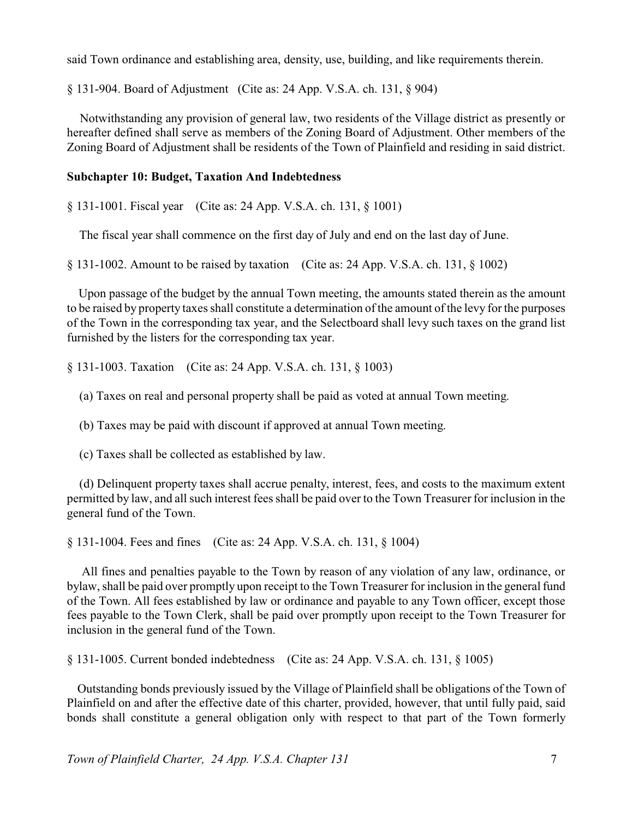said Town ordinance and establishing area, density, use, building, and like requirements therein.

§ 131-904. Board of Adjustment (Cite as: 24 App. V.S.A. ch. 131, § 904)

Notwithstanding any provision of general law, two residents of the Village district as presently or hereafter defined shall serve as members of the Zoning Board of Adjustment. Other members of the Zoning Board of Adjustment shall be residents of the Town of Plainfield and residing in said district.

### **Subchapter 10: Budget, Taxation And Indebtedness**

§ 131-1001. Fiscal year (Cite as: 24 App. V.S.A. ch. 131, § 1001)

The fiscal year shall commence on the first day of July and end on the last day of June.

§ 131-1002. Amount to be raised by taxation (Cite as: 24 App. V.S.A. ch. 131, § 1002)

Upon passage of the budget by the annual Town meeting, the amounts stated therein as the amount to be raised by property taxes shall constitute a determination of the amount of the levy for the purposes of the Town in the corresponding tax year, and the Selectboard shall levy such taxes on the grand list furnished by the listers for the corresponding tax year.

§ 131-1003. Taxation (Cite as: 24 App. V.S.A. ch. 131, § 1003)

(a) Taxes on real and personal property shall be paid as voted at annual Town meeting.

(b) Taxes may be paid with discount if approved at annual Town meeting.

(c) Taxes shall be collected as established by law.

 (d) Delinquent property taxes shall accrue penalty, interest, fees, and costs to the maximum extent permitted by law, and all such interest fees shall be paid over to the Town Treasurer for inclusion in the general fund of the Town.

§ 131-1004. Fees and fines (Cite as: 24 App. V.S.A. ch. 131, § 1004)

All fines and penalties payable to the Town by reason of any violation of any law, ordinance, or bylaw, shall be paid over promptly upon receipt to the Town Treasurer for inclusion in the general fund of the Town. All fees established by law or ordinance and payable to any Town officer, except those fees payable to the Town Clerk, shall be paid over promptly upon receipt to the Town Treasurer for inclusion in the general fund of the Town.

§ 131-1005. Current bonded indebtedness (Cite as: 24 App. V.S.A. ch. 131, § 1005)

Outstanding bonds previously issued by the Village of Plainfield shall be obligations of the Town of Plainfield on and after the effective date of this charter, provided, however, that until fully paid, said bonds shall constitute a general obligation only with respect to that part of the Town formerly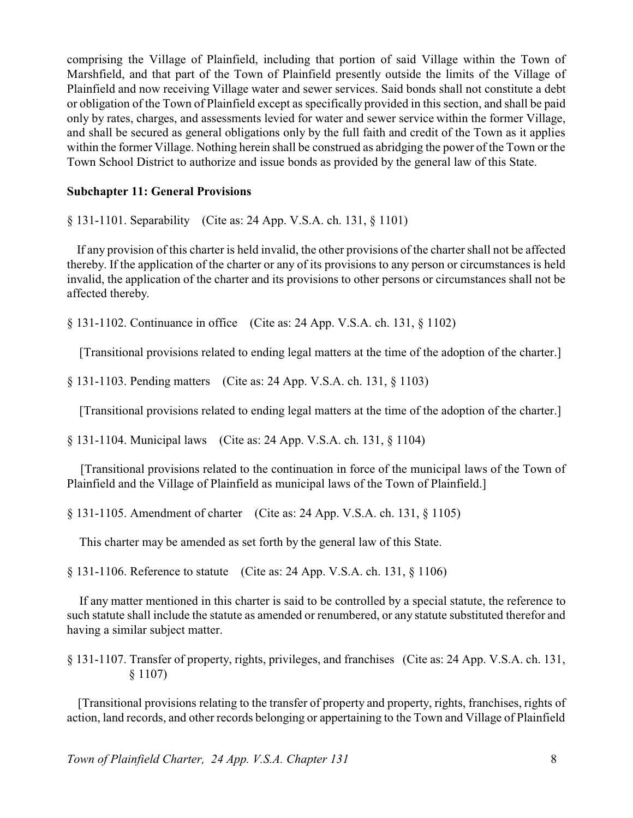comprising the Village of Plainfield, including that portion of said Village within the Town of Marshfield, and that part of the Town of Plainfield presently outside the limits of the Village of Plainfield and now receiving Village water and sewer services. Said bonds shall not constitute a debt or obligation of the Town of Plainfield except as specifically provided in this section, and shall be paid only by rates, charges, and assessments levied for water and sewer service within the former Village, and shall be secured as general obligations only by the full faith and credit of the Town as it applies within the former Village. Nothing herein shall be construed as abridging the power of the Town or the Town School District to authorize and issue bonds as provided by the general law of this State.

# **Subchapter 11: General Provisions**

§ 131-1101. Separability (Cite as: 24 App. V.S.A. ch. 131, § 1101)

If any provision of this charter is held invalid, the other provisions of the charter shall not be affected thereby. If the application of the charter or any of its provisions to any person or circumstances is held invalid, the application of the charter and its provisions to other persons or circumstances shall not be affected thereby.

§ 131-1102. Continuance in office (Cite as: 24 App. V.S.A. ch. 131, § 1102)

[Transitional provisions related to ending legal matters at the time of the adoption of the charter.]

§ 131-1103. Pending matters (Cite as: 24 App. V.S.A. ch. 131, § 1103)

[Transitional provisions related to ending legal matters at the time of the adoption of the charter.]

§ 131-1104. Municipal laws (Cite as: 24 App. V.S.A. ch. 131, § 1104)

[Transitional provisions related to the continuation in force of the municipal laws of the Town of Plainfield and the Village of Plainfield as municipal laws of the Town of Plainfield.]

§ 131-1105. Amendment of charter (Cite as: 24 App. V.S.A. ch. 131, § 1105)

This charter may be amended as set forth by the general law of this State.

§ 131-1106. Reference to statute (Cite as: 24 App. V.S.A. ch. 131, § 1106)

 If any matter mentioned in this charter is said to be controlled by a special statute, the reference to such statute shall include the statute as amended or renumbered, or any statute substituted therefor and having a similar subject matter.

§ 131-1107. Transfer of property, rights, privileges, and franchises (Cite as: 24 App. V.S.A. ch. 131, § 1107)

[Transitional provisions relating to the transfer of property and property, rights, franchises, rights of action, land records, and other records belonging or appertaining to the Town and Village of Plainfield